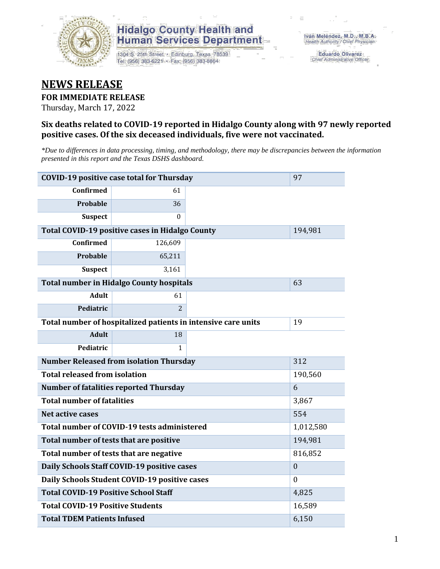

### **Hidalgo County Health and Human Services Department**

1304 S. 25th Street · Edinburg, Texas 78539 Tel: (956) 383-6221 · Fax: (956) 383-8864

**Eduardo Olivarez** Chief Administrative Officer

## **NEWS RELEASE**

#### **FOR IMMEDIATE RELEASE**

Thursday, March 17, 2022

#### **Six deaths related to COVID-19 reported in Hidalgo County along with 97 newly reported positive cases. Of the six deceased individuals, five were not vaccinated.**

*\*Due to differences in data processing, timing, and methodology, there may be discrepancies between the information presented in this report and the Texas DSHS dashboard.*

| <b>COVID-19 positive case total for Thursday</b>              | 97                                              |    |         |
|---------------------------------------------------------------|-------------------------------------------------|----|---------|
| <b>Confirmed</b>                                              | 61                                              |    |         |
| Probable                                                      | 36                                              |    |         |
| <b>Suspect</b>                                                | $\Omega$                                        |    |         |
|                                                               | Total COVID-19 positive cases in Hidalgo County |    | 194,981 |
| <b>Confirmed</b>                                              | 126,609                                         |    |         |
| Probable                                                      | 65,211                                          |    |         |
| <b>Suspect</b>                                                | 3,161                                           |    |         |
| <b>Total number in Hidalgo County hospitals</b>               |                                                 | 63 |         |
| <b>Adult</b>                                                  | 61                                              |    |         |
| Pediatric                                                     | $\overline{2}$                                  |    |         |
| Total number of hospitalized patients in intensive care units | 19                                              |    |         |
| <b>Adult</b>                                                  | 18                                              |    |         |
| Pediatric                                                     | 1                                               |    |         |
| <b>Number Released from isolation Thursday</b>                | 312                                             |    |         |
| <b>Total released from isolation</b>                          | 190,560                                         |    |         |
| <b>Number of fatalities reported Thursday</b>                 | 6                                               |    |         |
| <b>Total number of fatalities</b>                             | 3,867                                           |    |         |
| Net active cases                                              | 554                                             |    |         |
| Total number of COVID-19 tests administered                   | 1,012,580                                       |    |         |
| Total number of tests that are positive                       | 194,981                                         |    |         |
| Total number of tests that are negative                       | 816,852                                         |    |         |
| Daily Schools Staff COVID-19 positive cases                   | $\mathbf{0}$                                    |    |         |
| Daily Schools Student COVID-19 positive cases                 | $\Omega$                                        |    |         |
| <b>Total COVID-19 Positive School Staff</b>                   | 4,825                                           |    |         |
| <b>Total COVID-19 Positive Students</b>                       | 16,589                                          |    |         |
| <b>Total TDEM Patients Infused</b>                            | 6,150                                           |    |         |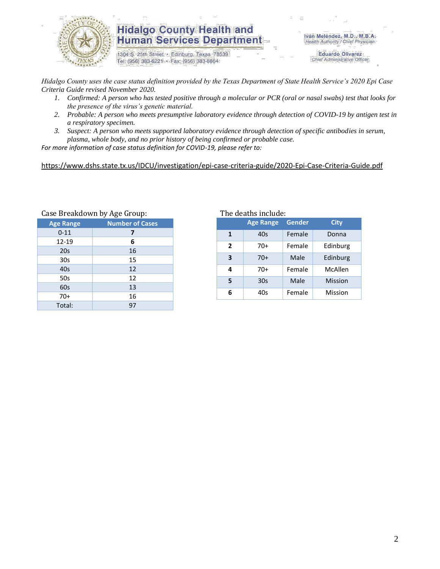

### **Hidalgo County Health and Human Services Department**

1304 S. 25th Street · Edinburg, Texas 78539 Tel: (956) 383-6221 · Fax: (956) 383-8864

Iván Meléndez, M.D., M.B.A. Health Authority / Chief Physician

> **Eduardo Olivarez** Chief Administrative Officer

*Hidalgo County uses the case status definition provided by the Texas Department of State Health Service's 2020 Epi Case Criteria Guide revised November 2020.*

- *1. Confirmed: A person who has tested positive through a molecular or PCR (oral or nasal swabs) test that looks for the presence of the virus's genetic material.*
- *2. Probable: A person who meets presumptive laboratory evidence through detection of COVID-19 by antigen test in a respiratory specimen.*
- *3. Suspect: A person who meets supported laboratory evidence through detection of specific antibodies in serum, plasma, whole body, and no prior history of being confirmed or probable case.*

*For more information of case status definition for COVID-19, please refer to:*

<https://www.dshs.state.tx.us/IDCU/investigation/epi-case-criteria-guide/2020-Epi-Case-Criteria-Guide.pdf>

| Case Dieakuowii by Age Group: |                        |  |  |  |  |
|-------------------------------|------------------------|--|--|--|--|
| <b>Age Range</b>              | <b>Number of Cases</b> |  |  |  |  |
| $0 - 11$                      | 7                      |  |  |  |  |
| 12-19                         | 6                      |  |  |  |  |
| 20s                           | 16                     |  |  |  |  |
| 30s                           | 15                     |  |  |  |  |
| 40s                           | 12                     |  |  |  |  |
| 50s                           | 12                     |  |  |  |  |
| 60s                           | 13                     |  |  |  |  |
| $70+$                         | 16                     |  |  |  |  |
| Total:                        | 97                     |  |  |  |  |
|                               |                        |  |  |  |  |

Case Breakdown by Age Group: The deaths include:

| <b>Age Range</b> |       | <b>Gender</b> | <b>City</b> |  |
|------------------|-------|---------------|-------------|--|
| $\mathbf{1}$     | 40s   | Female        | Donna       |  |
| $\mathbf{2}$     | 70+   | Female        | Edinburg    |  |
| 3                | $70+$ | Male          | Edinburg    |  |
| 4                | 70+   | Female        | McAllen     |  |
| 5                | 30s   | Male          | Mission     |  |
| 6                | 40s   | Female        | Mission     |  |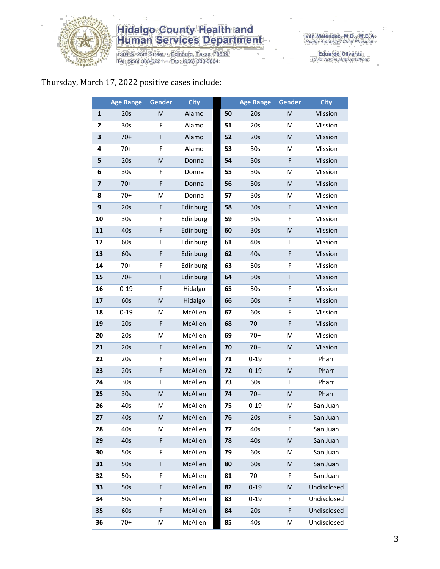

# **Hidalgo County Health and<br>Human Services Department**

1304 S. 25th Street • Edinburg, Texas 78539<br>Tel: (956) 383-6221 • Fax: (956) 383-8864

Eduardo Olivarez<br>Chief Administrative Officer

#### Thursday, March 17, 2022 positive cases include:

|                         | <b>Age Range</b> | <b>Gender</b> | <b>City</b> |    | <b>Age Range</b> | Gender    | <b>City</b> |
|-------------------------|------------------|---------------|-------------|----|------------------|-----------|-------------|
| $\mathbf{1}$            | 20s              | M             | Alamo       | 50 | 20s              | M         | Mission     |
| $\mathbf{2}$            | 30s              | F             | Alamo       | 51 | 20s              | M         | Mission     |
| 3                       | $70+$            | F             | Alamo       | 52 | 20s              | M         | Mission     |
| 4                       | $70+$            | F             | Alamo       | 53 | 30 <sub>s</sub>  | M         | Mission     |
| 5                       | 20s              | M             | Donna       | 54 | 30s              | F         | Mission     |
| 6                       | 30 <sub>s</sub>  | F             | Donna       | 55 | 30 <sub>s</sub>  | M         | Mission     |
| $\overline{\mathbf{z}}$ | $70+$            | F             | Donna       | 56 | 30s              | M         | Mission     |
| 8                       | $70+$            | M             | Donna       | 57 | 30 <sub>s</sub>  | M         | Mission     |
| 9                       | 20s              | F             | Edinburg    | 58 | 30s              | F         | Mission     |
| 10                      | 30 <sub>s</sub>  | F             | Edinburg    | 59 | 30 <sub>s</sub>  | F         | Mission     |
| 11                      | 40s              | F             | Edinburg    | 60 | 30s              | M         | Mission     |
| 12                      | 60s              | F             | Edinburg    | 61 | 40s              | F         | Mission     |
| 13                      | 60s              | F             | Edinburg    | 62 | 40s              | F         | Mission     |
| 14                      | $70+$            | F             | Edinburg    | 63 | 50s              | F         | Mission     |
| 15                      | $70+$            | F             | Edinburg    | 64 | 50s              | F         | Mission     |
| 16                      | $0 - 19$         | F             | Hidalgo     | 65 | 50s              | F         | Mission     |
| 17                      | 60s              | M             | Hidalgo     | 66 | 60s              | F         | Mission     |
| 18                      | $0 - 19$         | M             | McAllen     | 67 | 60s              | F         | Mission     |
| 19                      | 20s              | F             | McAllen     | 68 | $70+$            | F         | Mission     |
| 20                      | 20s              | M             | McAllen     | 69 | $70+$            | M         | Mission     |
| 21                      | 20s              | F             | McAllen     | 70 | $70+$            | ${\sf M}$ | Mission     |
| 22                      | 20s              | F             | McAllen     | 71 | $0 - 19$         | F         | Pharr       |
| 23                      | 20s              | F             | McAllen     | 72 | $0 - 19$         | M         | Pharr       |
| 24                      | 30s              | F             | McAllen     | 73 | 60s              | F         | Pharr       |
| 25                      | 30 <sub>s</sub>  | M             | McAllen     | 74 | $70+$            | M         | Pharr       |
| 26                      | 40s              | M             | McAllen     | 75 | $0 - 19$         | M         | San Juan    |
| 27                      | 40s              | M             | McAllen     | 76 | 20s              | F         | San Juan    |
| 28                      | 40s              | М             | McAllen     | 77 | 40s              | F.        | San Juan    |
| 29                      | 40s              | F             | McAllen     | 78 | 40s              | ${\sf M}$ | San Juan    |
| 30                      | 50s              | F             | McAllen     | 79 | 60s              | M         | San Juan    |
| 31                      | 50s              | F             | McAllen     | 80 | 60s              | M         | San Juan    |
| 32                      | 50s              | F             | McAllen     | 81 | $70+$            | F         | San Juan    |
| 33                      | 50s              | F             | McAllen     | 82 | $0 - 19$         | M         | Undisclosed |
| 34                      | 50s              | F             | McAllen     | 83 | $0 - 19$         | F         | Undisclosed |
| 35                      | 60s              | F             | McAllen     | 84 | 20s              | F         | Undisclosed |
| 36                      | $70+$            | M             | McAllen     | 85 | 40s              | M         | Undisclosed |